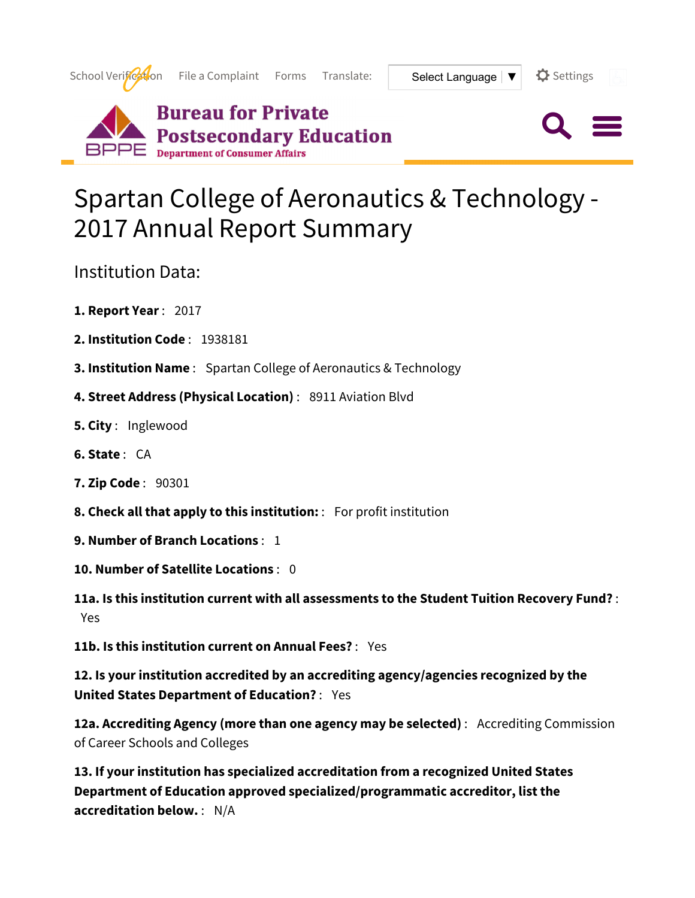

## Spartan College of Aeronautics & Technology - 2017 Annual Report Summary

Institution Data:

- **1. Report Year** : 2017
- **2. Institution Code** : 1938181
- **3. Institution Name** : Spartan College of Aeronautics & Technology
- **4. Street Address (Physical Location)** : 8911 Aviation Blvd
- **5. City** : Inglewood
- **6. State** : CA
- **7. Zip Code** : 90301
- **8. Check all that apply to this institution:** : For profit institution
- **9. Number of Branch Locations** : 1
- **10. Number of Satellite Locations** : 0

**11a. Is this institution current with all assessments to the Student Tuition Recovery Fund?** : Yes

**11b. Is this institution current on Annual Fees?** : Yes

**12. Is your institution accredited by an accrediting agency/agencies recognized by the United States Department of Education?** : Yes

**12a. Accrediting Agency (more than one agency may be selected)** : Accrediting Commission of Career Schools and Colleges

**13. If your institution has specialized accreditation from a recognized United States Department of Education approved specialized/programmatic accreditor, list the accreditation below.** : N/A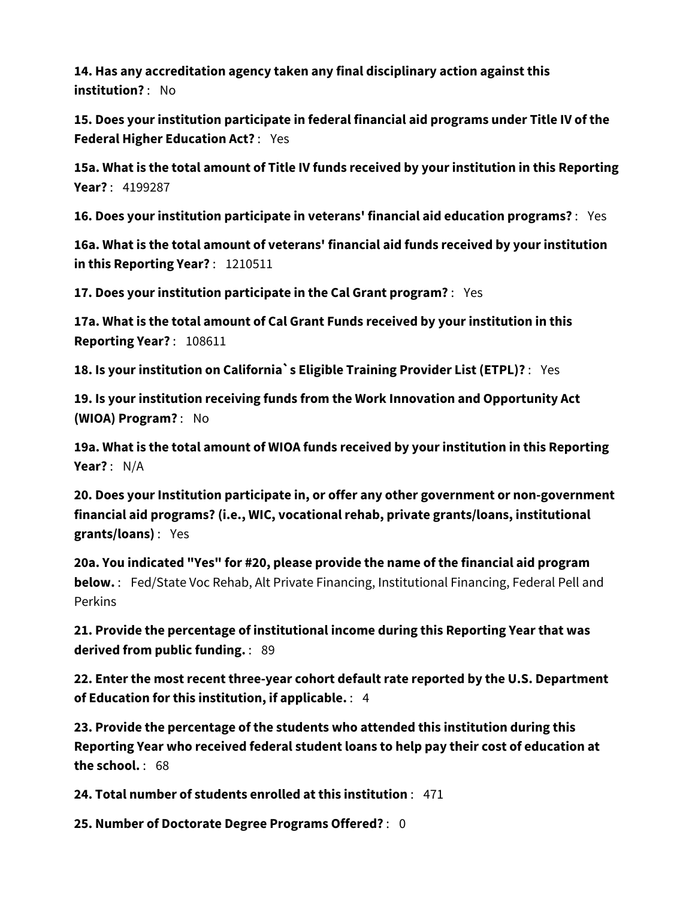**14. Has any accreditation agency taken any final disciplinary action against this institution?** : No

**15. Does your institution participate in federal financial aid programs under Title IV of the Federal Higher Education Act?** : Yes

**15a. What is the total amount of Title IV funds received by your institution in this Reporting Year?** : 4199287

**16. Does your institution participate in veterans' financial aid education programs?** : Yes

**16a. What is the total amount of veterans' financial aid funds received by your institution in this Reporting Year?** : 1210511

**17. Does your institution participate in the Cal Grant program?** : Yes

**17a. What is the total amount of Cal Grant Funds received by your institution in this Reporting Year?** : 108611

**18. Is your institution on California`s Eligible Training Provider List (ETPL)?** : Yes

**19. Is your institution receiving funds from the Work Innovation and Opportunity Act (WIOA) Program?** : No

**19a. What is the total amount of WIOA funds received by your institution in this Reporting Year?** : N/A

**20. Does your Institution participate in, or offer any other government or non-government financial aid programs? (i.e., WIC, vocational rehab, private grants/loans, institutional grants/loans)** : Yes

**20a. You indicated "Yes" for #20, please provide the name of the financial aid program below.** : Fed/State Voc Rehab, Alt Private Financing, Institutional Financing, Federal Pell and Perkins

**21. Provide the percentage of institutional income during this Reporting Year that was derived from public funding.** : 89

**22. Enter the most recent three-year cohort default rate reported by the U.S. Department of Education for this institution, if applicable.** : 4

**23. Provide the percentage of the students who attended this institution during this Reporting Year who received federal student loans to help pay their cost of education at the school.** : 68

**24. Total number of students enrolled at this institution** : 471

**25. Number of Doctorate Degree Programs Offered?** : 0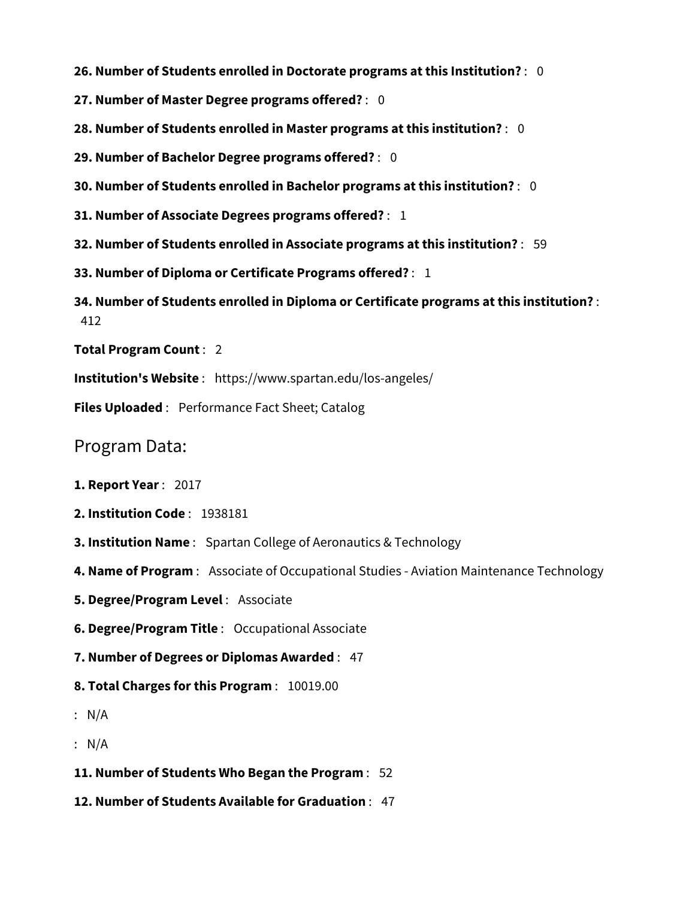**26. Number of Students enrolled in Doctorate programs at this Institution?** : 0

**27. Number of Master Degree programs offered?** : 0

**28. Number of Students enrolled in Master programs at this institution?** : 0

**29. Number of Bachelor Degree programs offered?** : 0

**30. Number of Students enrolled in Bachelor programs at this institution?** : 0

**31. Number of Associate Degrees programs offered?** : 1

**32. Number of Students enrolled in Associate programs at this institution?** : 59

**33. Number of Diploma or Certificate Programs offered?** : 1

**34. Number of Students enrolled in Diploma or Certificate programs at this institution?** : 412

**Total Program Count** : 2

**Institution's Website** : https://www.spartan.edu/los-angeles/

**Files Uploaded** : Performance Fact Sheet; Catalog

Program Data:

**1. Report Year** : 2017

- **2. Institution Code** : 1938181
- **3. Institution Name** : Spartan College of Aeronautics & Technology
- **4. Name of Program** : Associate of Occupational Studies Aviation Maintenance Technology
- **5. Degree/Program Level** : Associate

**6. Degree/Program Title** : Occupational Associate

**7. Number of Degrees or Diplomas Awarded** : 47

**8. Total Charges for this Program** : 10019.00

: N/A

: N/A

**11. Number of Students Who Began the Program** : 52

**12. Number of Students Available for Graduation** : 47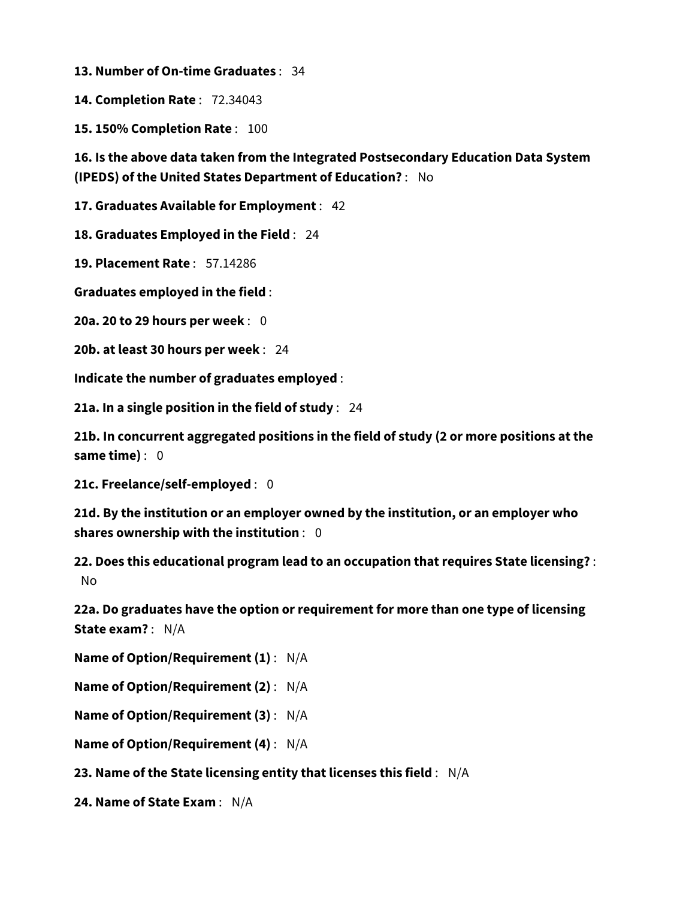**13. Number of On-time Graduates** : 34

**14. Completion Rate** : 72.34043

**15. 150% Completion Rate** : 100

**16. Is the above data taken from the Integrated Postsecondary Education Data System (IPEDS) of the United States Department of Education?** : No

**17. Graduates Available for Employment** : 42

**18. Graduates Employed in the Field** : 24

**19. Placement Rate** : 57.14286

**Graduates employed in the field** :

**20a. 20 to 29 hours per week** : 0

**20b. at least 30 hours per week** : 24

**Indicate the number of graduates employed** :

**21a. In a single position in the field of study** : 24

**21b. In concurrent aggregated positions in the field of study (2 or more positions at the same time)** : 0

**21c. Freelance/self-employed** : 0

**21d. By the institution or an employer owned by the institution, or an employer who shares ownership with the institution** : 0

**22. Does this educational program lead to an occupation that requires State licensing?** : No

**22a. Do graduates have the option or requirement for more than one type of licensing State exam?** : N/A

**Name of Option/Requirement (1)** : N/A

**Name of Option/Requirement (2)** : N/A

**Name of Option/Requirement (3)** : N/A

**Name of Option/Requirement (4)** : N/A

**23. Name of the State licensing entity that licenses this field** : N/A

**24. Name of State Exam** : N/A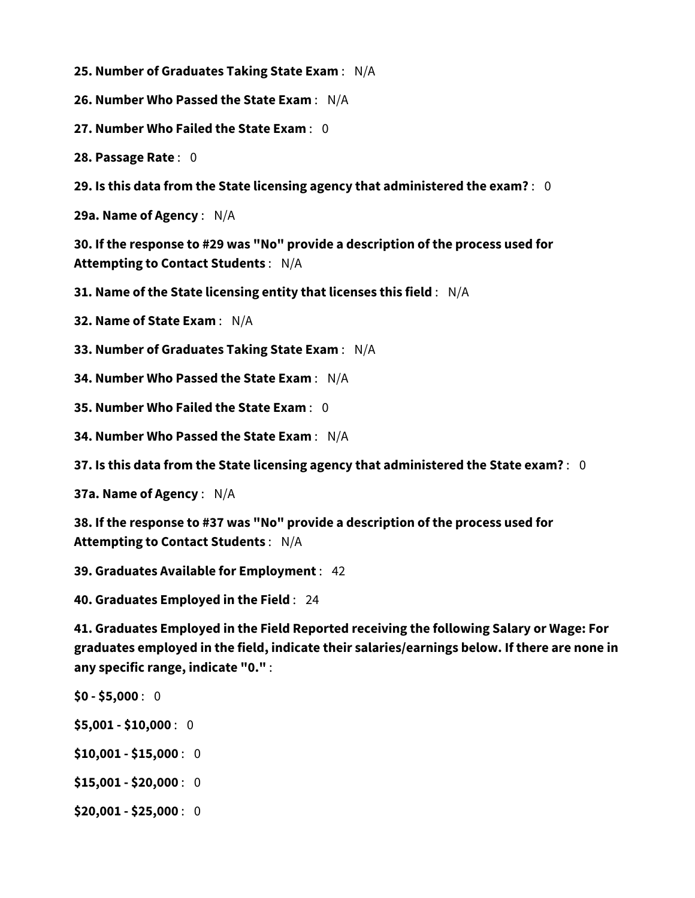**25. Number of Graduates Taking State Exam** : N/A

**26. Number Who Passed the State Exam** : N/A

**27. Number Who Failed the State Exam** : 0

**28. Passage Rate** : 0

**29. Is this data from the State licensing agency that administered the exam?** : 0

**29a. Name of Agency** : N/A

**30. If the response to #29 was "No" provide a description of the process used for Attempting to Contact Students** : N/A

**31. Name of the State licensing entity that licenses this field** : N/A

**32. Name of State Exam** : N/A

**33. Number of Graduates Taking State Exam** : N/A

**34. Number Who Passed the State Exam** : N/A

**35. Number Who Failed the State Exam** : 0

**34. Number Who Passed the State Exam** : N/A

**37. Is this data from the State licensing agency that administered the State exam?** : 0

**37a. Name of Agency** : N/A

**38. If the response to #37 was "No" provide a description of the process used for Attempting to Contact Students** : N/A

**39. Graduates Available for Employment** : 42

**40. Graduates Employed in the Field** : 24

**41. Graduates Employed in the Field Reported receiving the following Salary or Wage: For graduates employed in the field, indicate their salaries/earnings below. If there are none in any specific range, indicate "0."** :

**\$0 - \$5,000** : 0

**\$5,001 - \$10,000** : 0

**\$10,001 - \$15,000** : 0

**\$15,001 - \$20,000** : 0

**\$20,001 - \$25,000** : 0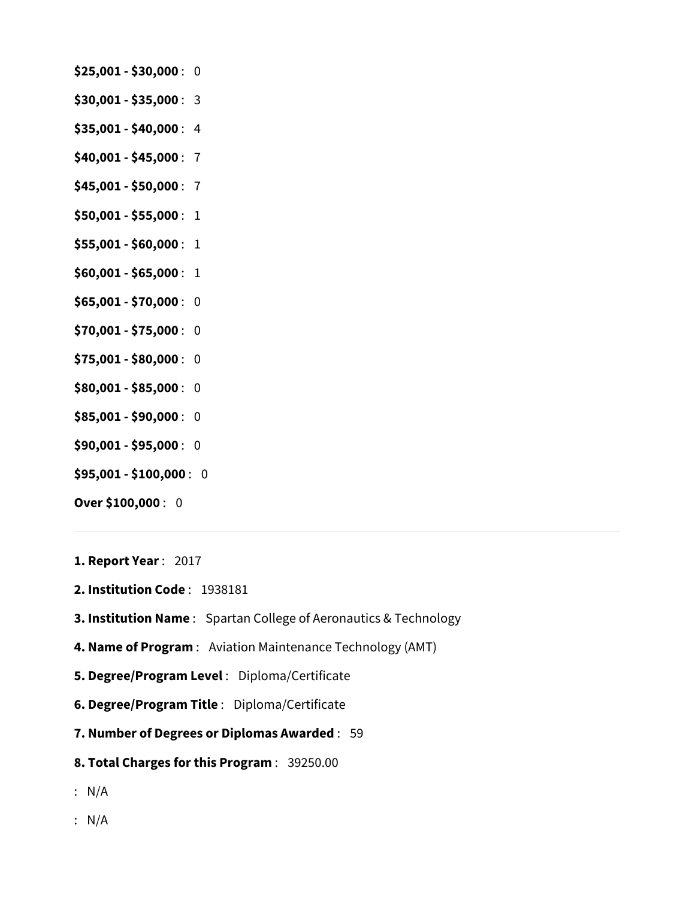- **\$25,001 \$30,000** : 0
- **\$30,001 \$35,000** : 3
- **\$35,001 \$40,000** : 4
- **\$40,001 \$45,000** : 7
- **\$45,001 \$50,000** : 7
- **\$50,001 \$55,000** : 1
- **\$55,001 \$60,000** : 1
- **\$60,001 \$65,000** : 1
- **\$65,001 \$70,000** : 0
- **\$70,001 \$75,000** : 0
- **\$75,001 \$80,000** : 0
- **\$80,001 \$85,000** : 0
- **\$85,001 \$90,000** : 0
- **\$90,001 \$95,000** : 0
- **\$95,001 \$100,000** : 0
- **Over \$100,000** : 0
- **1. Report Year** : 2017
- **2. Institution Code** : 1938181
- **3. Institution Name** : Spartan College of Aeronautics & Technology
- **4. Name of Program** : Aviation Maintenance Technology (AMT)
- **5. Degree/Program Level** : Diploma/Certificate
- **6. Degree/Program Title** : Diploma/Certificate
- **7. Number of Degrees or Diplomas Awarded** : 59
- **8. Total Charges for this Program** : 39250.00
- : N/A
- : N/A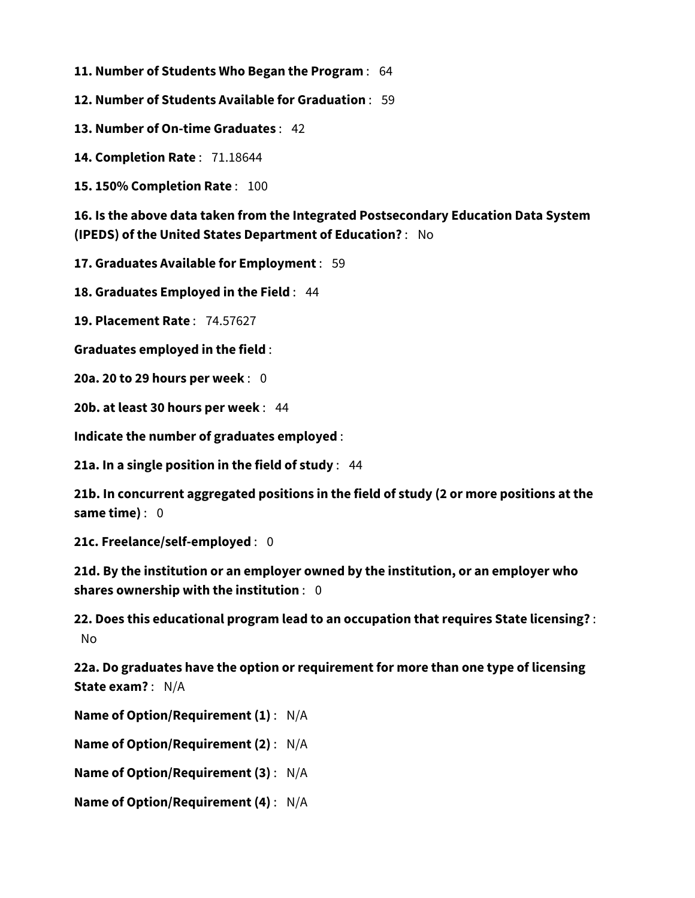**11. Number of Students Who Began the Program** : 64

**12. Number of Students Available for Graduation** : 59

**13. Number of On-time Graduates** : 42

**14. Completion Rate** : 71.18644

**15. 150% Completion Rate** : 100

**16. Is the above data taken from the Integrated Postsecondary Education Data System (IPEDS) of the United States Department of Education?** : No

**17. Graduates Available for Employment** : 59

**18. Graduates Employed in the Field** : 44

**19. Placement Rate** : 74.57627

**Graduates employed in the field** :

**20a. 20 to 29 hours per week** : 0

**20b. at least 30 hours per week** : 44

**Indicate the number of graduates employed** :

**21a. In a single position in the field of study** : 44

**21b. In concurrent aggregated positions in the field of study (2 or more positions at the same time)** : 0

**21c. Freelance/self-employed** : 0

**21d. By the institution or an employer owned by the institution, or an employer who shares ownership with the institution** : 0

**22. Does this educational program lead to an occupation that requires State licensing?** : No

**22a. Do graduates have the option or requirement for more than one type of licensing State exam?** : N/A

**Name of Option/Requirement (1)** : N/A

**Name of Option/Requirement (2)** : N/A

**Name of Option/Requirement (3)** : N/A

**Name of Option/Requirement (4)** : N/A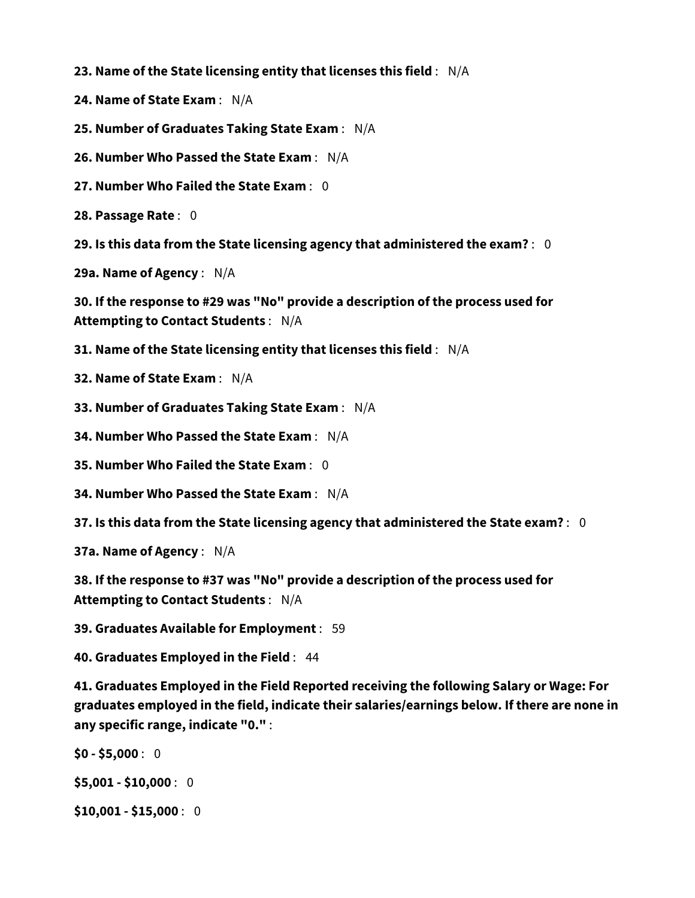**23. Name of the State licensing entity that licenses this field** : N/A

**24. Name of State Exam** : N/A

**25. Number of Graduates Taking State Exam** : N/A

**26. Number Who Passed the State Exam** : N/A

**27. Number Who Failed the State Exam** : 0

**28. Passage Rate** : 0

**29. Is this data from the State licensing agency that administered the exam?** : 0

**29a. Name of Agency** : N/A

**30. If the response to #29 was "No" provide a description of the process used for Attempting to Contact Students** : N/A

**31. Name of the State licensing entity that licenses this field** : N/A

**32. Name of State Exam** : N/A

**33. Number of Graduates Taking State Exam** : N/A

**34. Number Who Passed the State Exam** : N/A

**35. Number Who Failed the State Exam** : 0

**34. Number Who Passed the State Exam** : N/A

**37. Is this data from the State licensing agency that administered the State exam?** : 0

**37a. Name of Agency** : N/A

**38. If the response to #37 was "No" provide a description of the process used for Attempting to Contact Students** : N/A

**39. Graduates Available for Employment** : 59

**40. Graduates Employed in the Field** : 44

**41. Graduates Employed in the Field Reported receiving the following Salary or Wage: For graduates employed in the field, indicate their salaries/earnings below. If there are none in any specific range, indicate "0."** :

**\$0 - \$5,000** : 0 **\$5,001 - \$10,000** : 0

**\$10,001 - \$15,000** : 0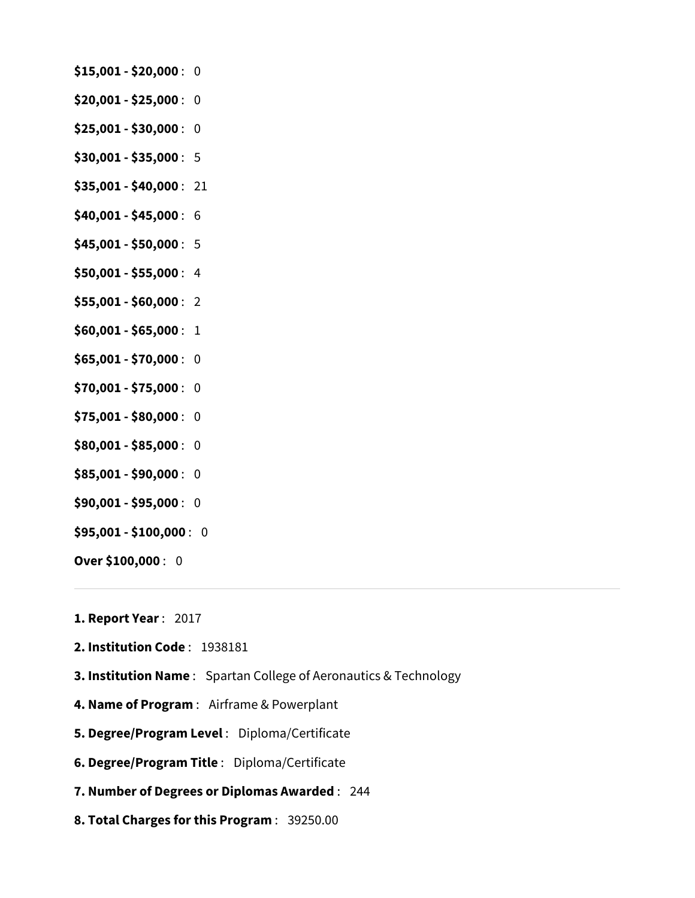- **\$15,001 \$20,000** : 0
- **\$20,001 \$25,000** : 0
- **\$25,001 \$30,000** : 0
- **\$30,001 \$35,000** : 5
- **\$35,001 \$40,000** : 21
- **\$40,001 \$45,000** : 6
- **\$45,001 \$50,000** : 5
- **\$50,001 \$55,000** : 4
- **\$55,001 \$60,000** : 2
- **\$60,001 \$65,000** : 1
- **\$65,001 \$70,000** : 0
- **\$70,001 \$75,000** : 0
- **\$75,001 \$80,000** : 0
- **\$80,001 \$85,000** : 0
- **\$85,001 \$90,000** : 0
- **\$90,001 \$95,000** : 0
- **\$95,001 \$100,000** : 0
- **Over \$100,000** : 0
- **1. Report Year** : 2017
- **2. Institution Code** : 1938181
- **3. Institution Name** : Spartan College of Aeronautics & Technology
- **4. Name of Program** : Airframe & Powerplant
- **5. Degree/Program Level** : Diploma/Certificate
- **6. Degree/Program Title** : Diploma/Certificate
- **7. Number of Degrees or Diplomas Awarded** : 244
- **8. Total Charges for this Program** : 39250.00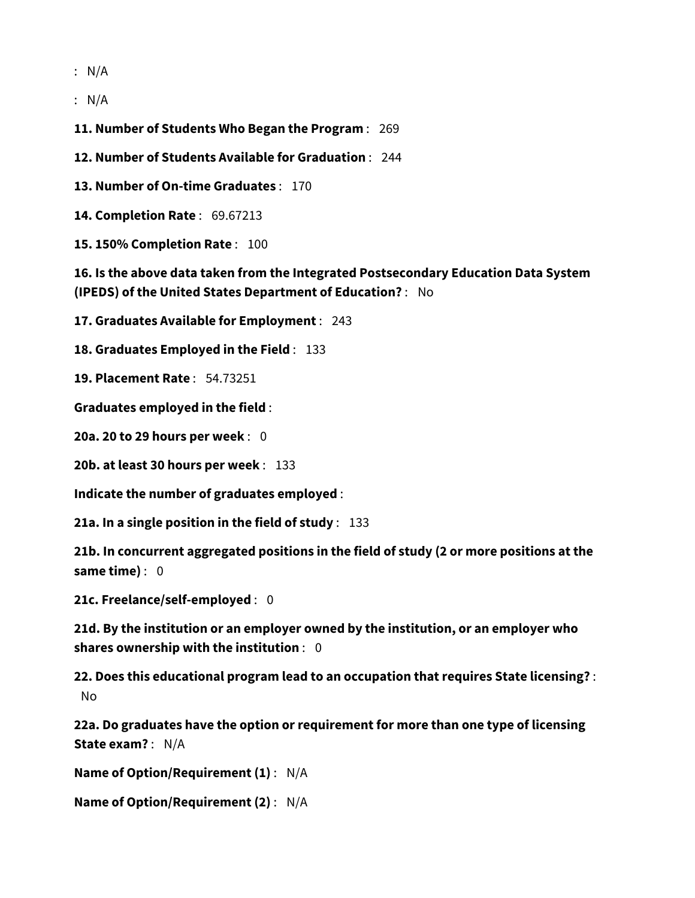: N/A

: N/A

**11. Number of Students Who Began the Program** : 269

**12. Number of Students Available for Graduation** : 244

**13. Number of On-time Graduates** : 170

**14. Completion Rate** : 69.67213

**15. 150% Completion Rate** : 100

**16. Is the above data taken from the Integrated Postsecondary Education Data System (IPEDS) of the United States Department of Education?** : No

**17. Graduates Available for Employment** : 243

**18. Graduates Employed in the Field** : 133

**19. Placement Rate** : 54.73251

**Graduates employed in the field** :

**20a. 20 to 29 hours per week** : 0

**20b. at least 30 hours per week** : 133

**Indicate the number of graduates employed** :

**21a. In a single position in the field of study** : 133

**21b. In concurrent aggregated positions in the field of study (2 or more positions at the same time)** : 0

**21c. Freelance/self-employed** : 0

**21d. By the institution or an employer owned by the institution, or an employer who shares ownership with the institution** : 0

**22. Does this educational program lead to an occupation that requires State licensing?** : No

**22a. Do graduates have the option or requirement for more than one type of licensing State exam?** : N/A

**Name of Option/Requirement (1)** : N/A

**Name of Option/Requirement (2)** : N/A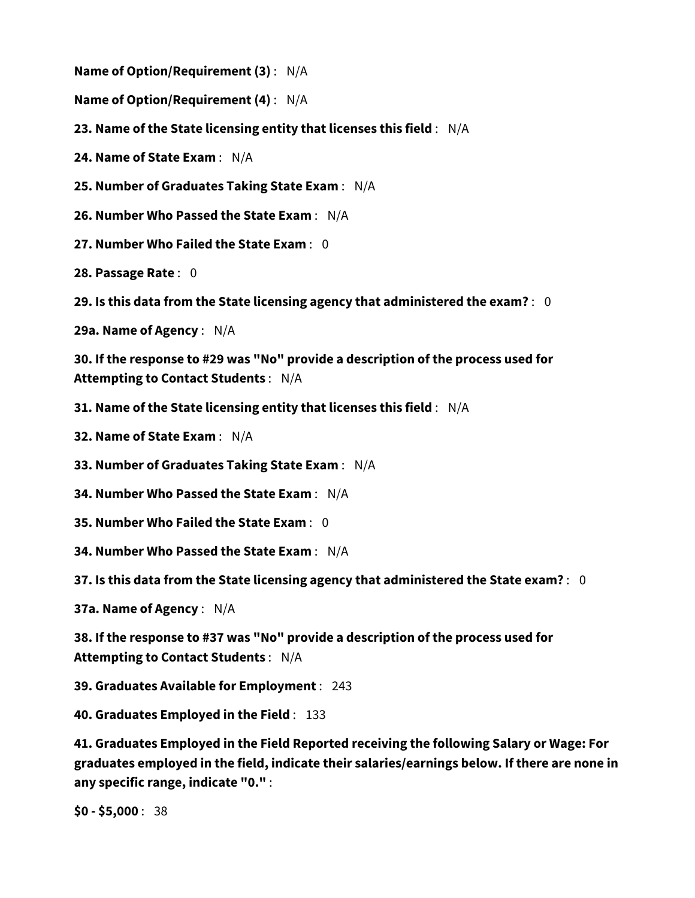**Name of Option/Requirement (3)** : N/A

**Name of Option/Requirement (4)** : N/A

**23. Name of the State licensing entity that licenses this field** : N/A

**24. Name of State Exam** : N/A

**25. Number of Graduates Taking State Exam** : N/A

**26. Number Who Passed the State Exam** : N/A

**27. Number Who Failed the State Exam** : 0

**28. Passage Rate** : 0

**29. Is this data from the State licensing agency that administered the exam?** : 0

**29a. Name of Agency** : N/A

**30. If the response to #29 was "No" provide a description of the process used for Attempting to Contact Students** : N/A

**31. Name of the State licensing entity that licenses this field** : N/A

**32. Name of State Exam** : N/A

**33. Number of Graduates Taking State Exam** : N/A

**34. Number Who Passed the State Exam** : N/A

**35. Number Who Failed the State Exam** : 0

**34. Number Who Passed the State Exam** : N/A

**37. Is this data from the State licensing agency that administered the State exam?** : 0

**37a. Name of Agency** : N/A

**38. If the response to #37 was "No" provide a description of the process used for Attempting to Contact Students** : N/A

**39. Graduates Available for Employment** : 243

**40. Graduates Employed in the Field** : 133

**41. Graduates Employed in the Field Reported receiving the following Salary or Wage: For graduates employed in the field, indicate their salaries/earnings below. If there are none in any specific range, indicate "0."** :

**\$0 - \$5,000** : 38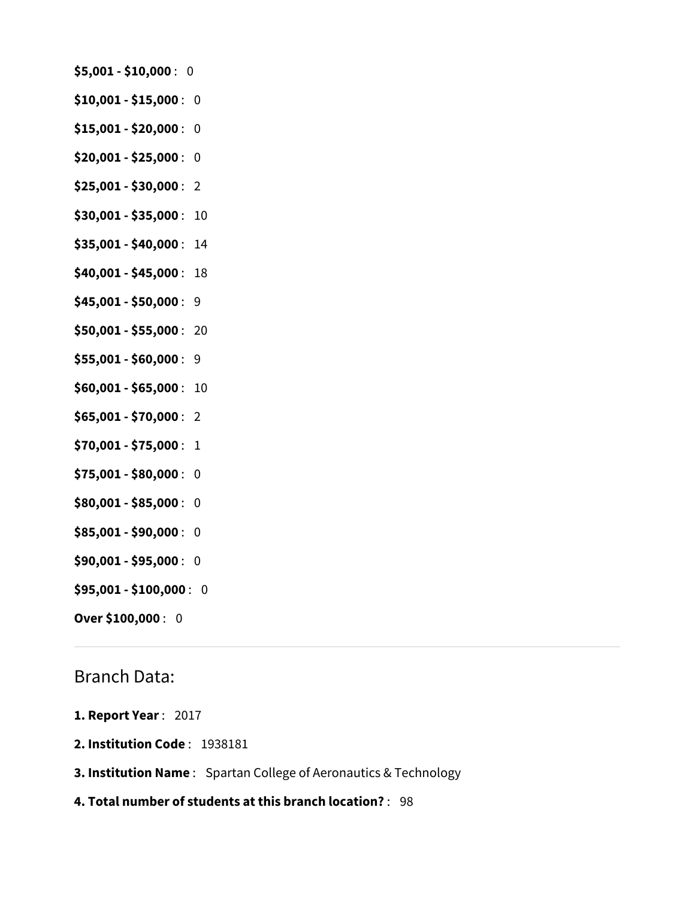- **\$5,001 \$10,000** : 0
- **\$10,001 \$15,000** : 0
- **\$15,001 \$20,000** : 0
- **\$20,001 \$25,000** : 0
- **\$25,001 \$30,000** : 2
- **\$30,001 \$35,000** : 10
- **\$35,001 \$40,000** : 14
- **\$40,001 \$45,000** : 18
- **\$45,001 \$50,000** : 9
- **\$50,001 \$55,000** : 20
- **\$55,001 \$60,000** : 9
- **\$60,001 \$65,000** : 10
- **\$65,001 \$70,000** : 2
- **\$70,001 \$75,000** : 1
- **\$75,001 \$80,000** : 0
- **\$80,001 \$85,000** : 0
- **\$85,001 \$90,000** : 0
- **\$90,001 \$95,000** : 0
- **\$95,001 \$100,000** : 0
- **Over \$100,000** : 0

## Branch Data:

- **1. Report Year** : 2017
- **2. Institution Code** : 1938181
- **3. Institution Name** : Spartan College of Aeronautics & Technology
- **4. Total number of students at this branch location?** : 98